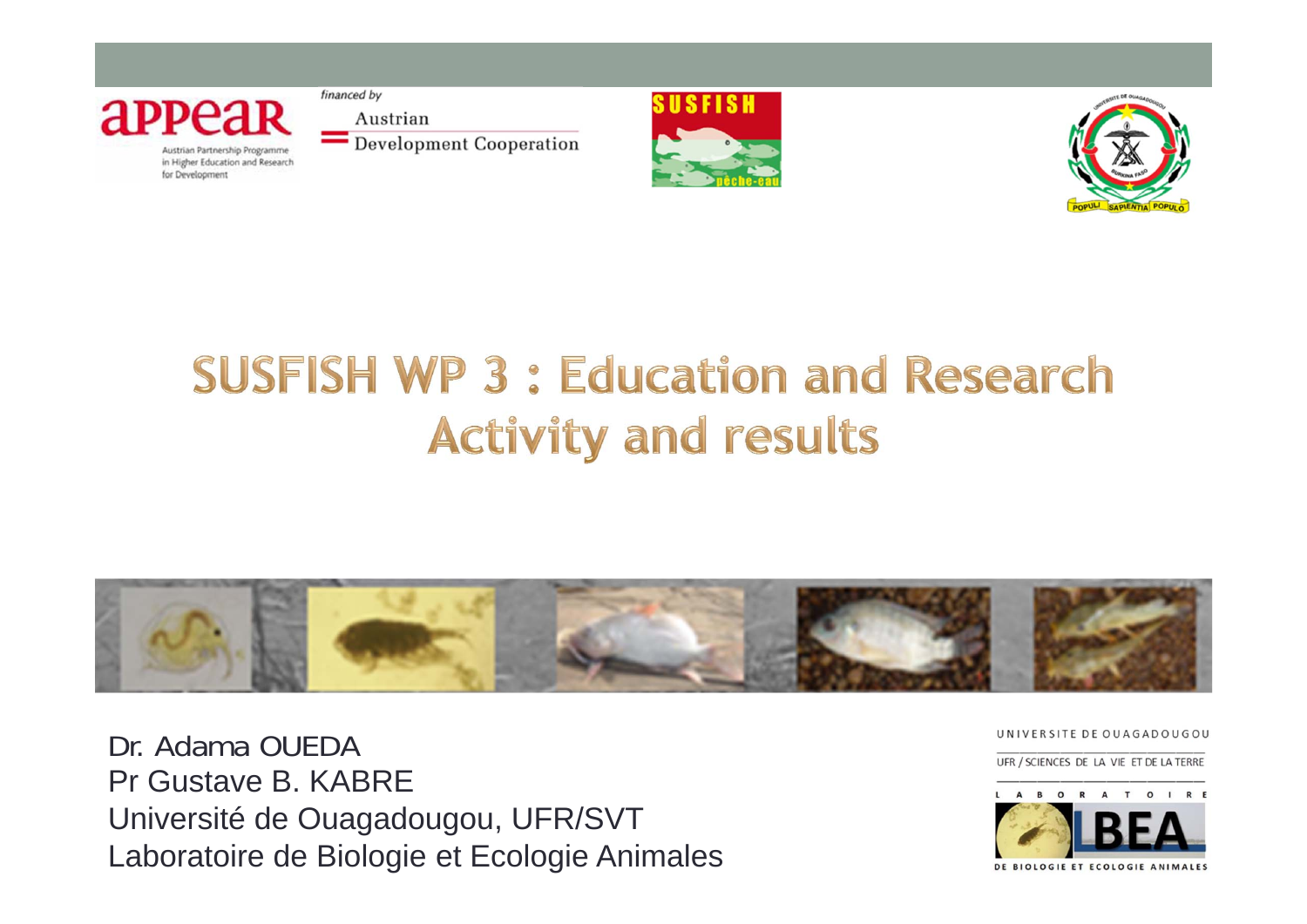

financed by Austrian Development Cooperation





## **SUSFISH WP 3: Education and Research Activity and results**



Dr. Adama OUEDA Pr Gustave B KABRF Université de Ouagadougou, UFR/SVT Laboratoire de Biologie et Ecologie Animales UNIVERSITE DE OUAGADOUGOU

UFR / SCIENCES DE LA VIE ET DE LA TERRE



DE BIOLOGIE ET ECOLOGIE ANIMALES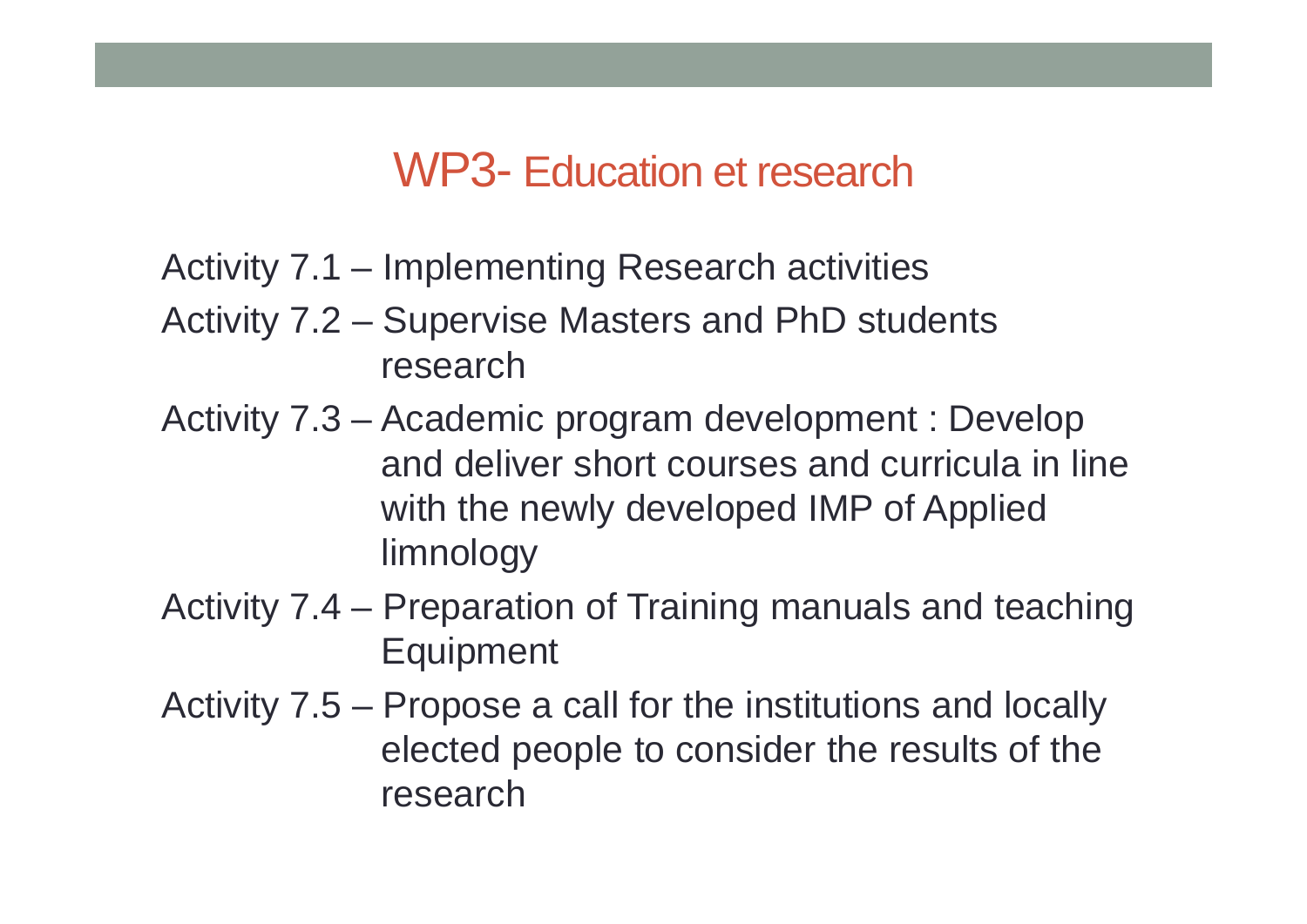#### WP3- Education et research

- Activity 7.1 Implementing Research activities
- Activity 7.2 Supervise Masters and PhD students research
- Activity 7.3 Academic program development : Develop and deliver short courses and curricula in line with the newly developed IMP of Applied limnology
- Activity 7.4 Preparation of Training manuals and teaching **Equipment**
- Activity 7.5 Propose a call for the institutions and locally elected people to consider the results of the research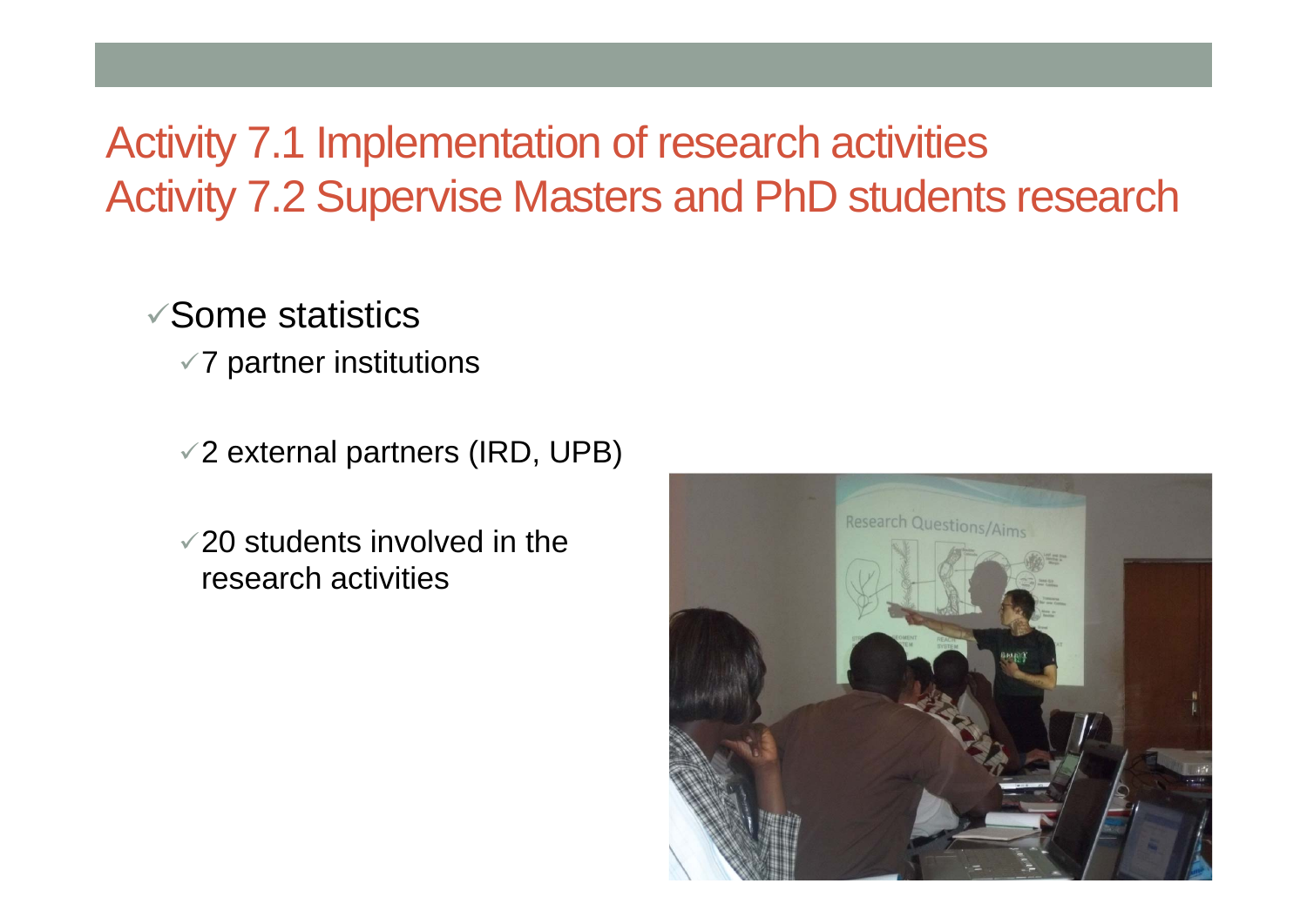#### Activity 7.1 Implementation of research activities Activity 7.2 Supervise Masters and PhD students research

 $\checkmark$  Some statistics

- $\times$  7 partner institutions
- $\sqrt{2}$  external partners (IRD, UPB)
- $\sqrt{20}$  students involved in the research activities

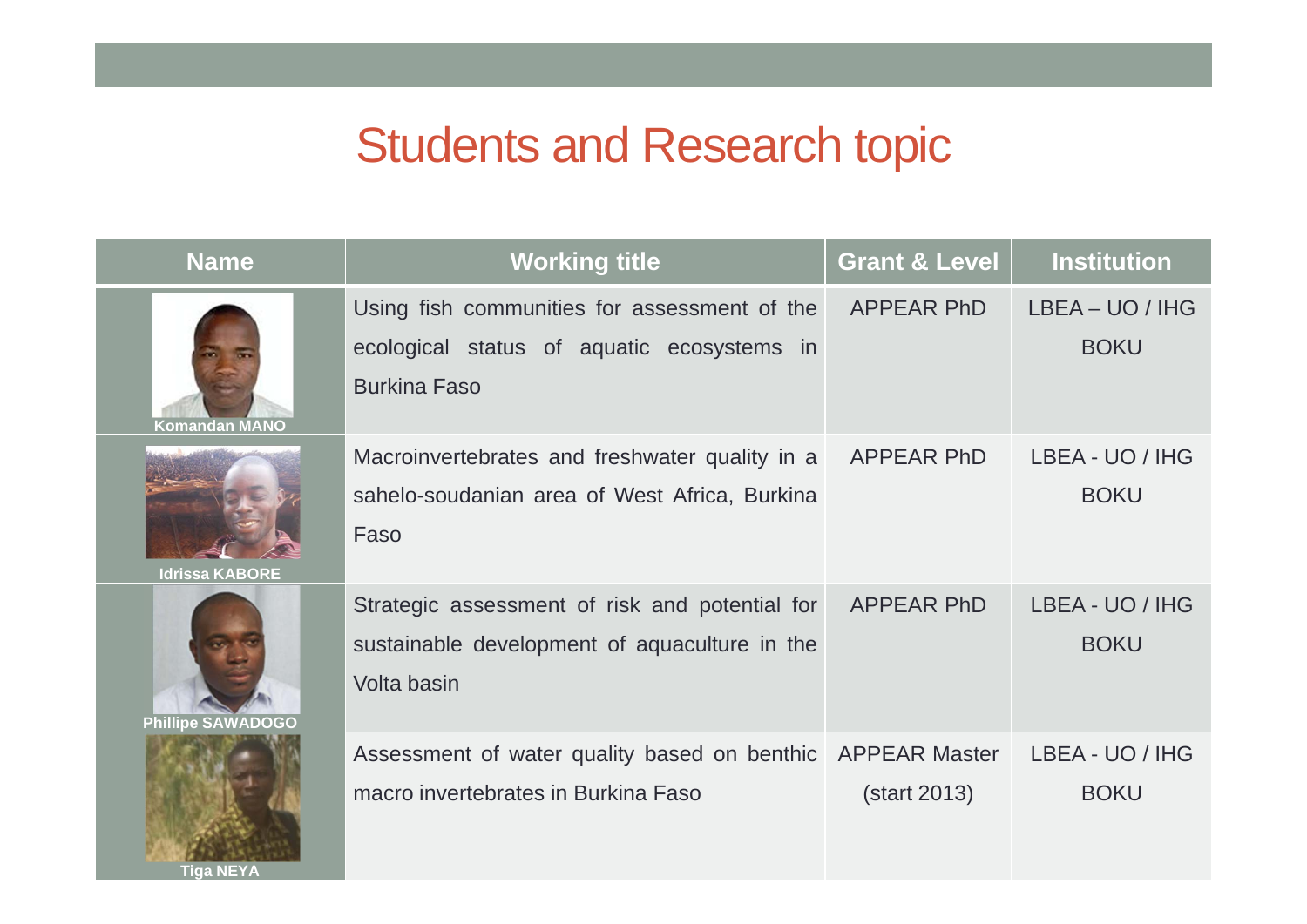| <b>Name</b>              | <b>Working title</b>                                                                                              | <b>Grant &amp; Level</b> | <b>Institution</b>             |
|--------------------------|-------------------------------------------------------------------------------------------------------------------|--------------------------|--------------------------------|
| Komandan MANO            | Using fish communities for assessment of the<br>ecological status of aquatic ecosystems in<br><b>Burkina Faso</b> | <b>APPEAR PhD</b>        | LBEA – UO / IHG<br><b>BOKU</b> |
| <b>Idrissa KABORE</b>    | Macroinvertebrates and freshwater quality in a<br>sahelo-soudanian area of West Africa, Burkina<br>Faso           | <b>APPEAR PhD</b>        | LBEA - UO / IHG<br><b>BOKU</b> |
| <b>Phillipe SAWADOGO</b> | Strategic assessment of risk and potential for<br>sustainable development of aquaculture in the<br>Volta basin    | <b>APPEAR PhD</b>        | LBEA - UO / IHG<br><b>BOKU</b> |
| <b>Tiga NEYA</b>         | Assessment of water quality based on benthic APPEAR Master<br>macro invertebrates in Burkina Faso                 | (start 2013)             | LBEA - UO / IHG<br><b>BOKU</b> |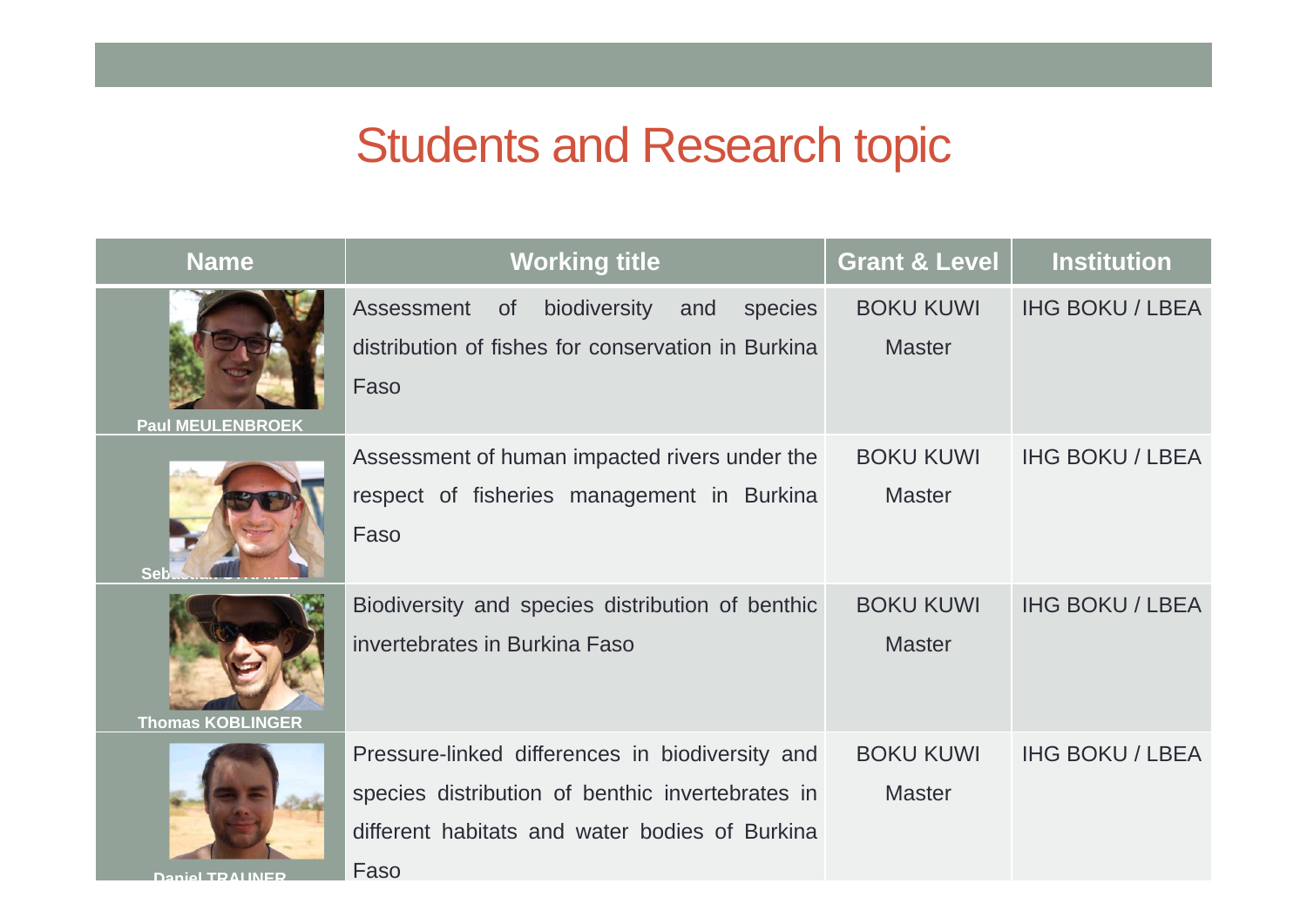| <b>Name</b>             | <b>Working title</b>                                                                                                                                          | <b>Grant &amp; Level</b>          | <b>Institution</b>     |
|-------------------------|---------------------------------------------------------------------------------------------------------------------------------------------------------------|-----------------------------------|------------------------|
| <b>Paul MEULENBROEK</b> | biodiversity<br>Assessment<br>and<br>species<br><b>of</b><br>distribution of fishes for conservation in Burkina<br>Faso                                       | <b>BOKU KUWI</b><br><b>Master</b> | <b>IHG BOKU / LBEA</b> |
|                         | Assessment of human impacted rivers under the<br>respect of fisheries management in Burkina<br>Faso                                                           | <b>BOKU KUWI</b><br><b>Master</b> | <b>IHG BOKU / LBEA</b> |
| <b>Thomas KOBLINGER</b> | Biodiversity and species distribution of benthic<br>invertebrates in Burkina Faso                                                                             | <b>BOKU KUWI</b><br><b>Master</b> | <b>IHG BOKU / LBEA</b> |
| Danial TD ALINEE        | Pressure-linked differences in biodiversity and<br>species distribution of benthic invertebrates in<br>different habitats and water bodies of Burkina<br>Faso | <b>BOKU KUWI</b><br><b>Master</b> | <b>IHG BOKU / LBEA</b> |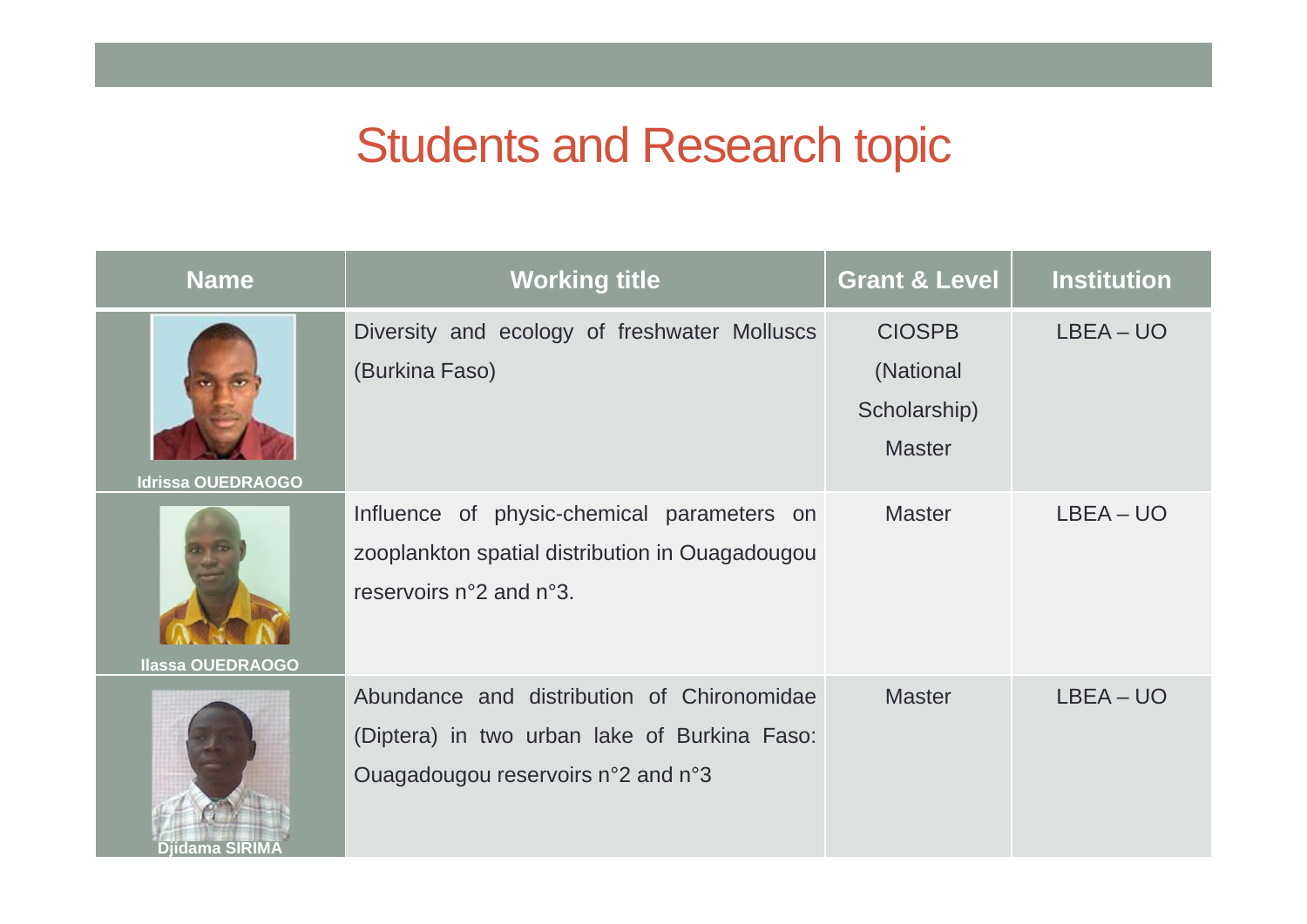| <b>Name</b>              | <b>Working title</b>                                                                                                             | <b>Grant &amp; Level</b>                                    | <b>Institution</b> |
|--------------------------|----------------------------------------------------------------------------------------------------------------------------------|-------------------------------------------------------------|--------------------|
| <b>Idrissa OUEDRAOGO</b> | Diversity and ecology of freshwater Molluscs<br>(Burkina Faso)                                                                   | <b>CIOSPB</b><br>(National<br>Scholarship)<br><b>Master</b> | LBEA – UO          |
| <b>Ilassa OUEDRAOGO</b>  | Influence of physic-chemical parameters on<br>zooplankton spatial distribution in Ouagadougou<br>reservoirs n°2 and n°3.         | <b>Master</b>                                               | LBEA – UO          |
| Djidama SIRIMA           | Abundance and distribution of Chironomidae<br>(Diptera) in two urban lake of Burkina Faso:<br>Ouagadougou reservoirs n°2 and n°3 | <b>Master</b>                                               | LBEA – UO          |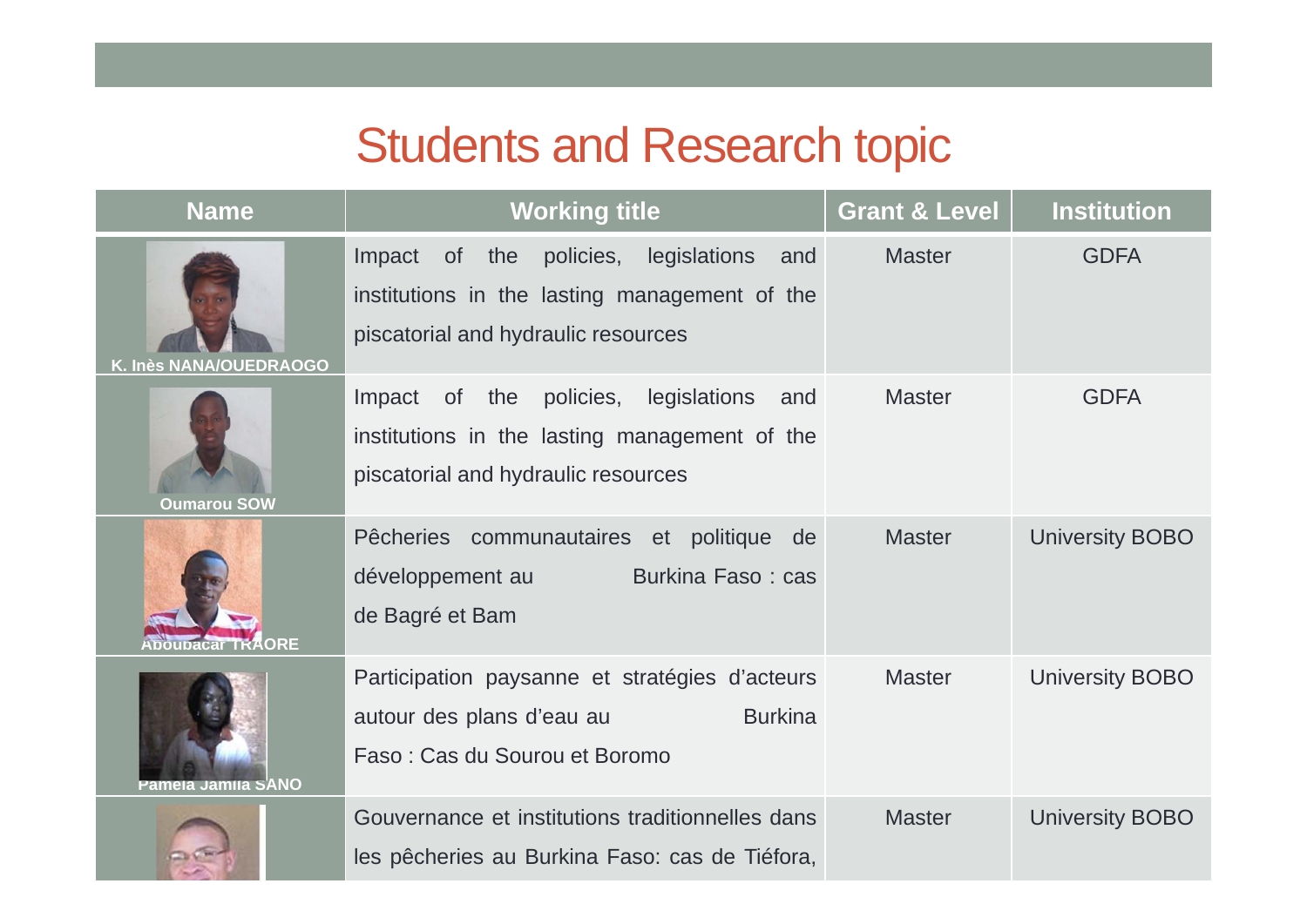| <b>Name</b>            | <b>Working title</b>                                                                                                                      | <b>Grant &amp; Level</b> | <b>Institution</b>     |
|------------------------|-------------------------------------------------------------------------------------------------------------------------------------------|--------------------------|------------------------|
| K. Inès NANA/OUEDRAOGO | Impact of the policies,<br>legislations<br>and<br>institutions in the lasting management of the<br>piscatorial and hydraulic resources    | <b>Master</b>            | <b>GDFA</b>            |
| <b>Oumarou SOW</b>     | policies,<br>legislations and<br>of the<br>Impact<br>institutions in the lasting management of the<br>piscatorial and hydraulic resources | <b>Master</b>            | <b>GDFA</b>            |
|                        | Pêcheries communautaires et politique de<br>développement au<br>Burkina Faso: cas<br>de Bagré et Bam                                      | <b>Master</b>            | <b>University BOBO</b> |
| Pamela Jamila SANO     | Participation paysanne et stratégies d'acteurs<br><b>Burkina</b><br>autour des plans d'eau au<br>Faso: Cas du Sourou et Boromo            | <b>Master</b>            | <b>University BOBO</b> |
|                        | Gouvernance et institutions traditionnelles dans<br>les pêcheries au Burkina Faso: cas de Tiéfora,                                        | <b>Master</b>            | <b>University BOBO</b> |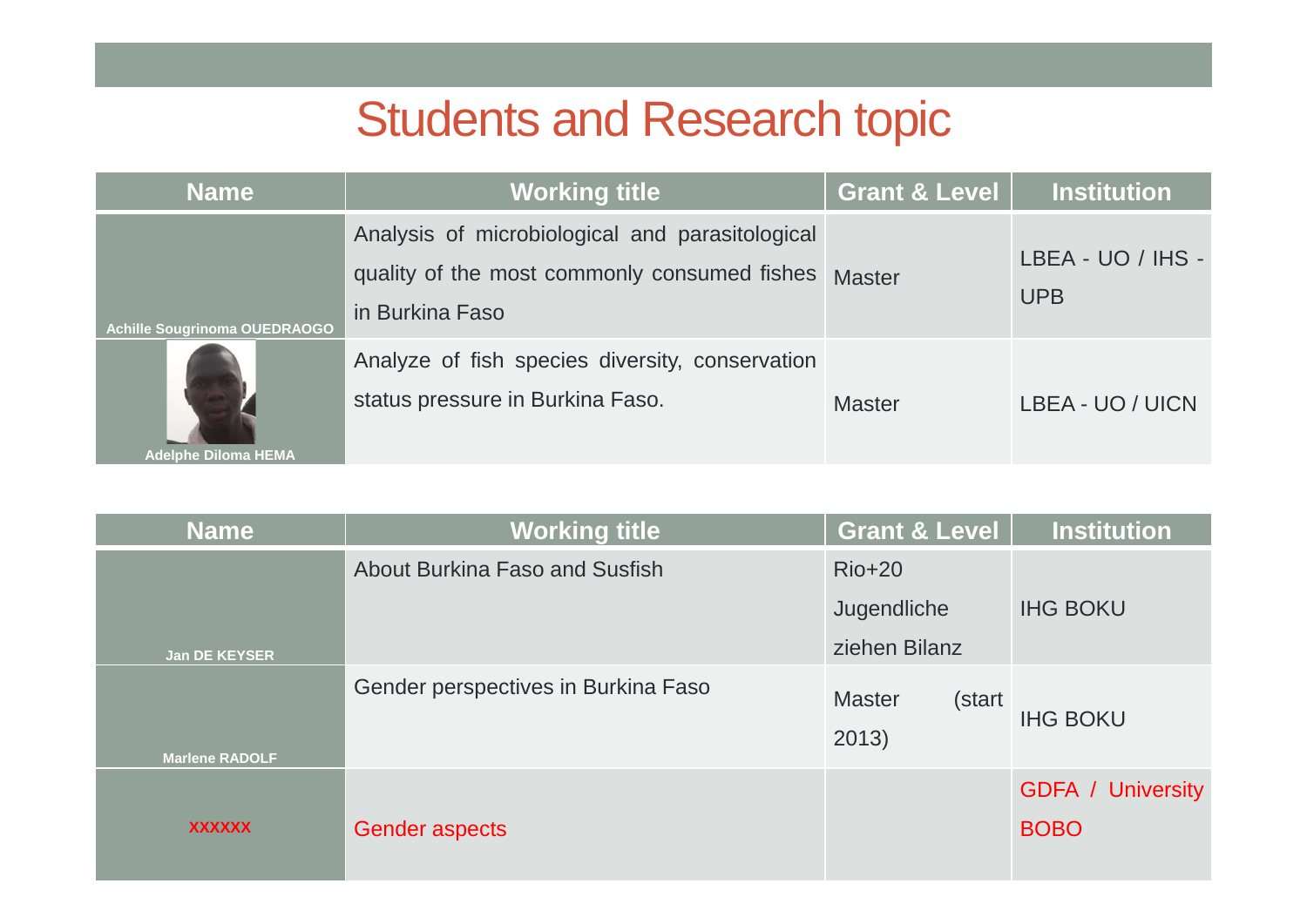| <b>Name</b>                         | <b>Working title</b>                                                                                               | <b>Grant &amp; Level</b> | <b>Institution</b>              |
|-------------------------------------|--------------------------------------------------------------------------------------------------------------------|--------------------------|---------------------------------|
| <b>Achille Sougrinoma OUEDRAOGO</b> | Analysis of microbiological and parasitological<br>quality of the most commonly consumed fishes<br>in Burkina Faso | <b>Master</b>            | LBEA - UO / IHS -<br><b>UPB</b> |
| <b>Adelphe Diloma HEMA</b>          | Analyze of fish species diversity, conservation<br>status pressure in Burkina Faso.                                | <b>Master</b>            | LBEA - UO / UICN                |

| <b>Name</b>           | <b>Working title</b>                | <b>Grant &amp; Level</b>         | <b>Institution</b>                      |
|-----------------------|-------------------------------------|----------------------------------|-----------------------------------------|
|                       | About Burkina Faso and Susfish      | $Rio+20$                         |                                         |
|                       |                                     | Jugendliche                      | <b>IHG BOKU</b>                         |
| <b>Jan DE KEYSER</b>  |                                     | ziehen Bilanz                    |                                         |
|                       | Gender perspectives in Burkina Faso | <b>Master</b><br>(start<br>2013) | <b>IHG BOKU</b>                         |
| <b>Marlene RADOLF</b> |                                     |                                  |                                         |
| <b>XXXXXX</b>         | Gender aspects                      |                                  | <b>GDFA</b> / University<br><b>BOBO</b> |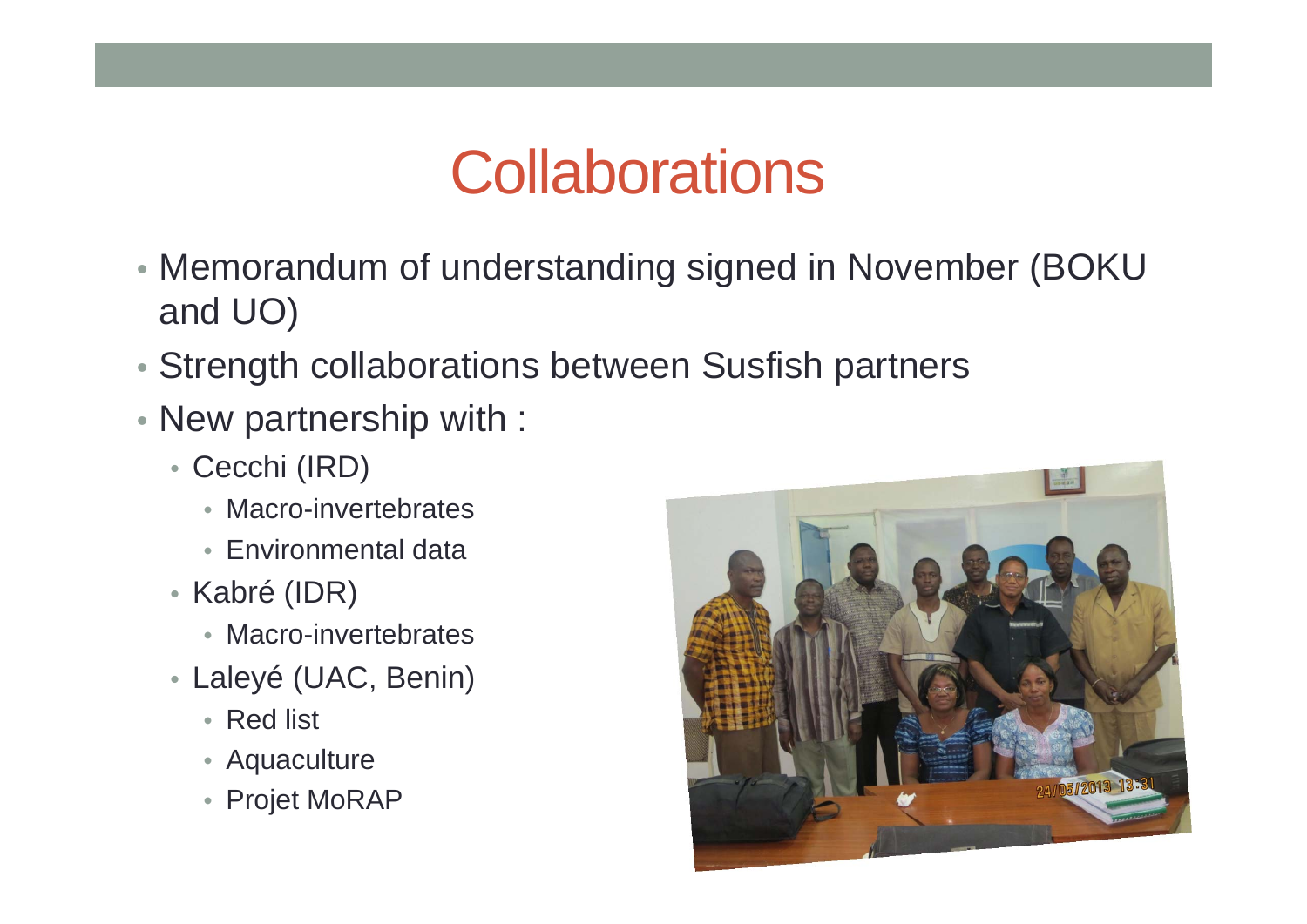# **Collaborations**

- Memorandum of understanding signed in November (BOKU and UO)
- Strength collaborations between Susfish partners
- New partnership with :
	- Cecchi (IRD)
		- Macro-invertebrates
		- Environmental data
	- Kabré (IDR)
		- Macro-invertebrates
	- Laleyé (UAC, Benin)
		- Red list
		- Aquaculture
		- Projet MoRAP

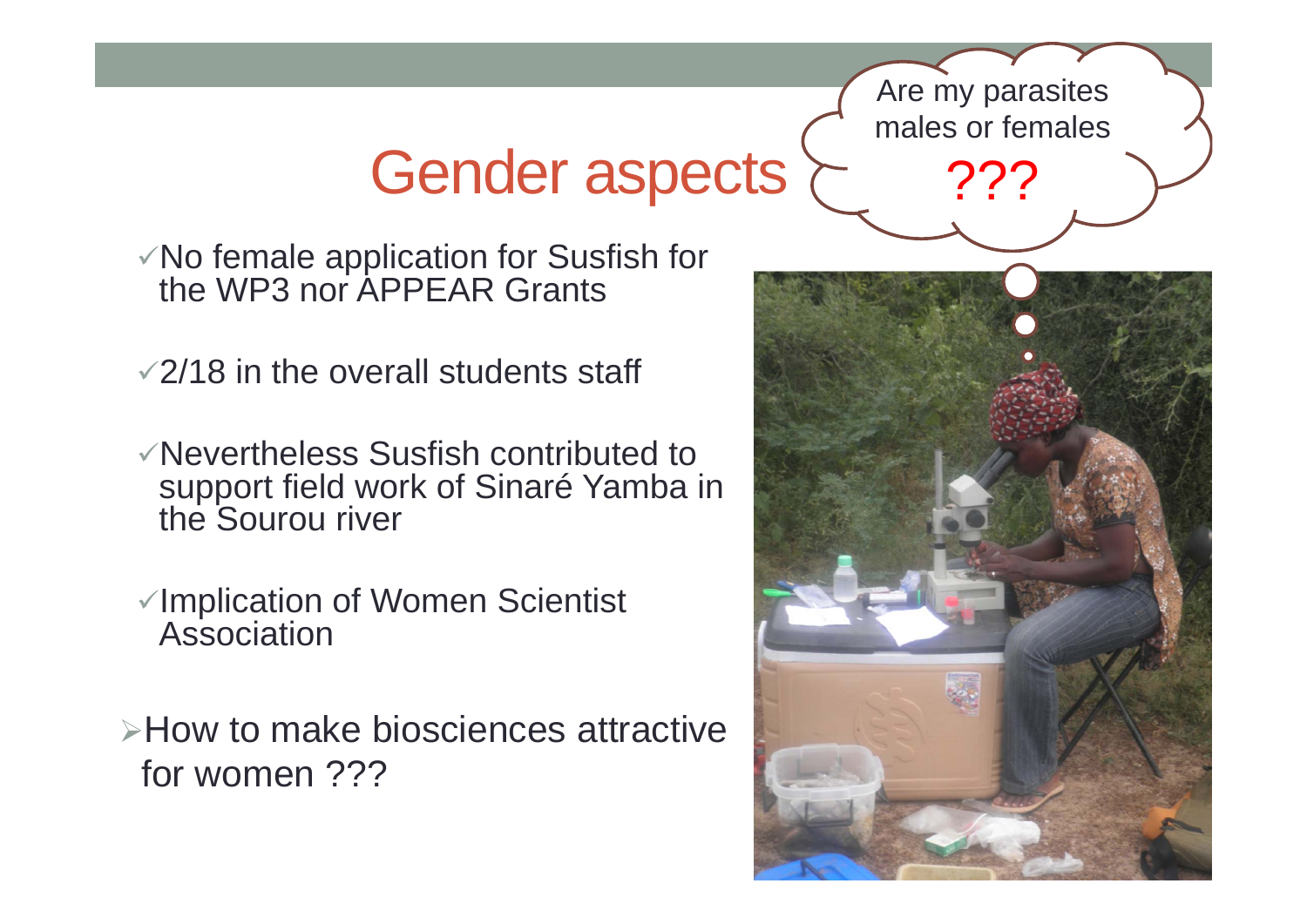# Gender aspects

 $\checkmark$  No female application for Susfish for the WP3 nor APPEAR Grants

 $\sqrt{2}/18$  in the overall students staff

- Nevertheless Susfish contributed to support field work of Sinaré Yamba in the Sourou river
- Implication of Women Scientist Association

**≻How to make biosciences attractive** for women ???



Are my parasites

males or females

???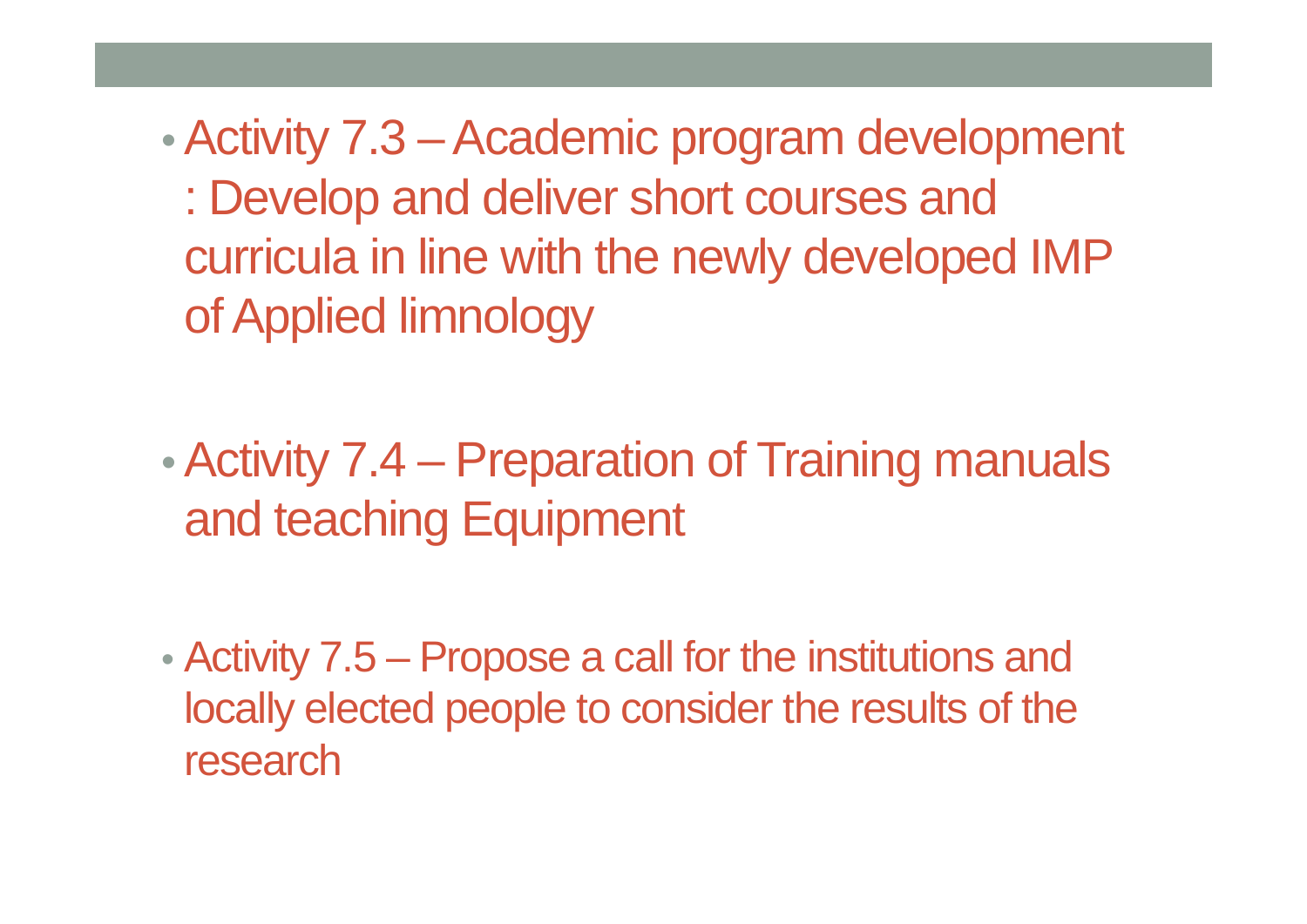•Activity 7.3 – Academic program development : Develop and deliver short courses and curricula in line with the newly developed IMP of Applied limnology

• Activity 7.4 – Preparation of Training manuals and teaching Equipment

• Activity 7.5 – Propose a call for the institutions and locally elected people to consider the results of the research